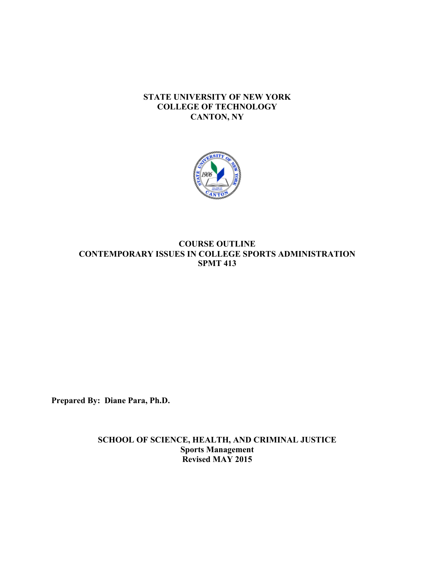# **STATE UNIVERSITY OF NEW YORK COLLEGE OF TECHNOLOGY CANTON, NY**



# **CONTEMPORARY ISSUES IN COLLEGE SPORTS ADMINISTRATION COURSE OUTLINE SPMT 413**

**Prepared By: Diane Para, Ph.D.** 

**SCHOOL OF SCIENCE, HEALTH, AND CRIMINAL JUSTICE Sports Management Revised MAY 2015**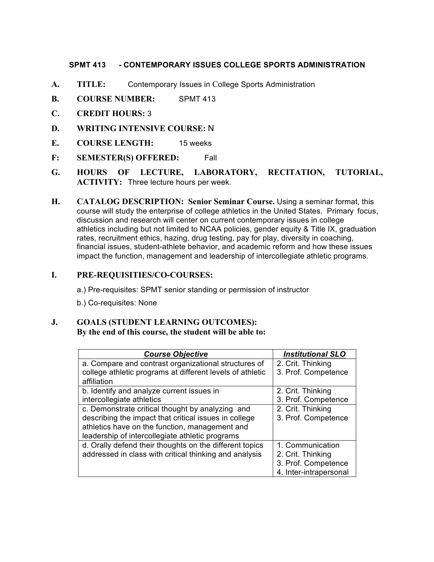#### **SPMT 413 SPMT 413 - CONTEMPORARY ISSUES COLLEGE SPORTS ADMINISTRATION**

- **A. TITLE:** Contemporary Issues in College Sports Administration
- **B. COURSE NUMBER:** SPMT 413
- **C. CREDIT HOURS:** 3
- **D. WRITING INTENSIVE COURSE:** N
- **E. COURSE LENGTH:** 15 weeks
- **F: SEMESTER(S) OFFERED:** Fall
- **G. HOURS OF LECTURE, LABORATORY, RECITATION, TUTORIAL, ACTIVITY:** Three lecture hours per week.
- **H.** CATALOG DESCRIPTION: Senior Seminar Course. Using a seminar format, this course will study the enterprise of college athletics in the United States. Primary focus, discussion and research will center on current contemporary issues in college athletics including but not limited to NCAA policies, gender equity & Title IX, graduation rates, recruitment ethics, hazing, drug testing, pay for play, diversity in coaching, financial issues, student-athlete behavior, and academic reform and how these issues impact the function, management and leadership of intercollegiate athletic programs.

# **I. PRE-REQUISITIES/CO-COURSES:**

a.) Pre-requisites: SPMT senior standing or permission of instructor

b.) Co-requisites: None

## **J. GOALS (STUDENT LEARNING OUTCOMES): By the end of this course, the student will be able to:**

| <b>Course Objective</b>                                   | <b>Institutional SLO</b> |
|-----------------------------------------------------------|--------------------------|
| a. Compare and contrast organizational structures of      | 2. Crit. Thinking        |
| college athletic programs at different levels of athletic | 3. Prof. Competence      |
| affiliation                                               |                          |
| b. Identify and analyze current issues in                 | 2. Crit. Thinking        |
| intercollegiate athletics                                 | 3. Prof. Competence      |
| c. Demonstrate critical thought by analyzing and          | 2. Crit. Thinking        |
| describing the impact that critical issues in college     | 3. Prof. Competence      |
| athletics have on the function, management and            |                          |
| leadership of intercollegiate athletic programs           |                          |
| d. Orally defend their thoughts on the different topics   | 1. Communication         |
| addressed in class with critical thinking and analysis    | 2. Crit. Thinking        |
|                                                           | 3. Prof. Competence      |
|                                                           | 4. Inter-intrapersonal   |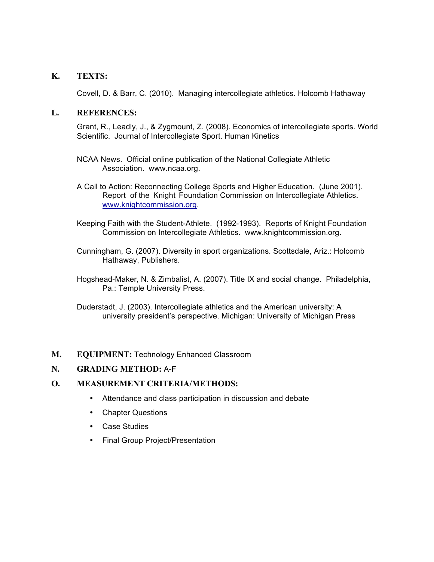# **K. TEXTS:**

Covell, D. & Barr, C. (2010). Managing intercollegiate athletics. Holcomb Hathaway

#### **L. REFERENCES:**

 Grant, R., Leadly, J., & Zygmount, Z. (2008). Economics of intercollegiate sports. World Scientific. Journal of Intercollegiate Sport. Human Kinetics

- NCAA News. Official online publication of the National Collegiate Athletic Association. www.ncaa.org.
- A Call to Action: Reconnecting College Sports and Higher Education. (June 2001). Report of the Knight Foundation Commission on Intercollegiate Athletics. www.knightcommission.org.
- Keeping Faith with the Student-Athlete. (1992-1993). Reports of Knight Foundation Commission on Intercollegiate Athletics. www.knightcommission.org.
- Cunningham, G. (2007). Diversity in sport organizations. Scottsdale, Ariz.: Holcomb Hathaway, Publishers.

 Hogshead-Maker, N. & Zimbalist, A. (2007). Title IX and social change. Philadelphia, Pa.: Temple University Press.

 Duderstadt, J. (2003). Intercollegiate athletics and the American university: A university president's perspective. Michigan: University of Michigan Press

## **M. EQUIPMENT:** Technology Enhanced Classroom

## **N. GRADING METHOD:** A-F

## **O. MEASUREMENT CRITERIA/METHODS:**

- Attendance and class participation in discussion and debate
- Chapter Questions
- Case Studies
- Final Group Project/Presentation